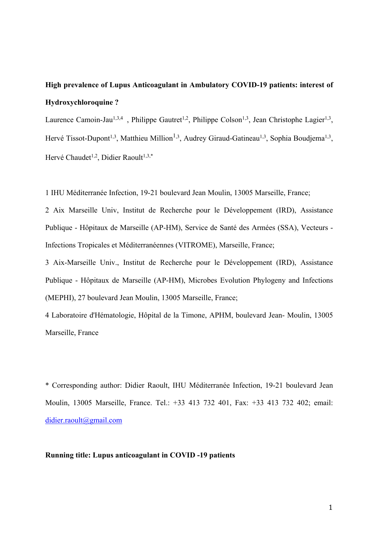# **High prevalence of Lupus Anticoagulant in Ambulatory COVID-19 patients: interest of Hydroxychloroquine ?**

Laurence Camoin-Jau<sup>1,3,4</sup>, Philippe Gautret<sup>1,2</sup>, Philippe Colson<sup>1,3</sup>, Jean Christophe Lagier<sup>1,3</sup>, Hervé Tissot-Dupont<sup>1,3</sup>, Matthieu Million<sup>1,3</sup>, Audrey Giraud-Gatineau<sup>1,3</sup>, Sophia Boudjema<sup>1,3</sup>, Hervé Chaudet<sup>1,2</sup>, Didier Raoult<sup>1,3,\*</sup>

1 IHU Méditerranée Infection, 19-21 boulevard Jean Moulin, 13005 Marseille, France;

2 Aix Marseille Univ, Institut de Recherche pour le Développement (IRD), Assistance Publique - Hôpitaux de Marseille (AP-HM), Service de Santé des Armées (SSA), Vecteurs - Infections Tropicales et Méditerranéennes (VITROME), Marseille, France;

3 Aix-Marseille Univ., Institut de Recherche pour le Développement (IRD), Assistance Publique - Hôpitaux de Marseille (AP-HM), Microbes Evolution Phylogeny and Infections (MEPHI), 27 boulevard Jean Moulin, 13005 Marseille, France;

4 Laboratoire d'Hématologie, Hôpital de la Timone, APHM, boulevard Jean- Moulin, 13005 Marseille, France

\* Corresponding author: Didier Raoult, IHU Méditerranée Infection, 19-21 boulevard Jean Moulin, 13005 Marseille, France. Tel.: +33 413 732 401, Fax: +33 413 732 402; email: didier.raoult@gmail.com

# **Running title: Lupus anticoagulant in COVID -19 patients**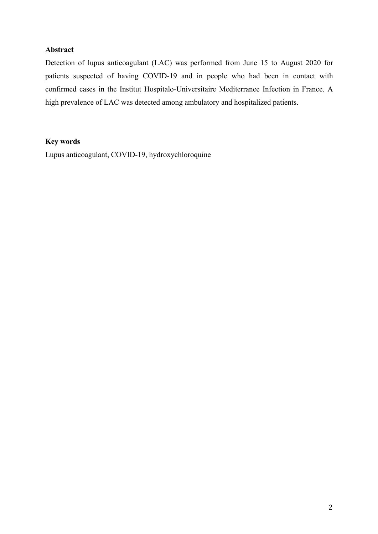# **Abstract**

Detection of lupus anticoagulant (LAC) was performed from June 15 to August 2020 for patients suspected of having COVID-19 and in people who had been in contact with confirmed cases in the Institut Hospitalo-Universitaire Mediterranee Infection in France. A high prevalence of LAC was detected among ambulatory and hospitalized patients.

## **Key words**

Lupus anticoagulant, COVID-19, hydroxychloroquine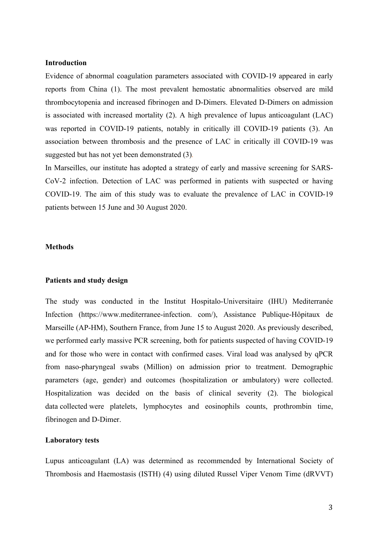#### **Introduction**

Evidence of abnormal coagulation parameters associated with COVID-19 appeared in early reports from China (1). The most prevalent hemostatic abnormalities observed are mild thrombocytopenia and increased fibrinogen and D-Dimers. Elevated D-Dimers on admission is associated with increased mortality (2). A high prevalence of lupus anticoagulant (LAC) was reported in COVID-19 patients, notably in critically ill COVID-19 patients (3). An association between thrombosis and the presence of LAC in critically ill COVID-19 was suggested but has not yet been demonstrated (3)*.* 

In Marseilles, our institute has adopted a strategy of early and massive screening for SARS-CoV-2 infection. Detection of LAC was performed in patients with suspected or having COVID-19. The aim of this study was to evaluate the prevalence of LAC in COVID-19 patients between 15 June and 30 August 2020.

# **Methods**

#### **Patients and study design**

The study was conducted in the Institut Hospitalo-Universitaire (IHU) Mediterranée Infection (https://www.mediterranee-infection. com/), Assistance Publique-Hôpitaux de Marseille (AP-HM), Southern France, from June 15 to August 2020. As previously described, we performed early massive PCR screening, both for patients suspected of having COVID-19 and for those who were in contact with confirmed cases. Viral load was analysed by qPCR from naso-pharyngeal swabs (Million) on admission prior to treatment. Demographic parameters (age, gender) and outcomes (hospitalization or ambulatory) were collected. Hospitalization was decided on the basis of clinical severity (2). The biological data collected were platelets, lymphocytes and eosinophils counts, prothrombin time, fibrinogen and D-Dimer.

## **Laboratory tests**

Lupus anticoagulant (LA) was determined as recommended by International Society of Thrombosis and Haemostasis (ISTH) (4) using diluted Russel Viper Venom Time (dRVVT)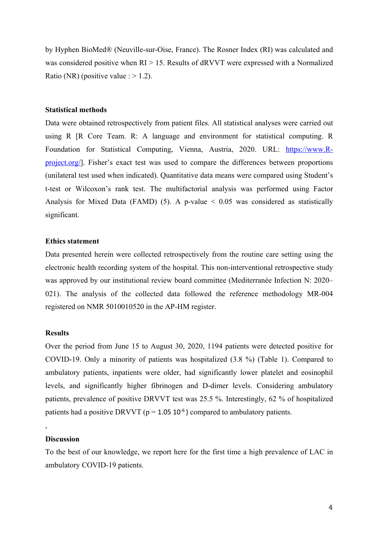by Hyphen BioMed® (Neuville-sur-Oise, France). The Rosner Index (RI) was calculated and was considered positive when  $RI > 15$ . Results of dRVVT were expressed with a Normalized Ratio (NR) (positive value :  $> 1.2$ ).

#### **Statistical methods**

Data were obtained retrospectively from patient files. All statistical analyses were carried out using R [R Core Team. R: A language and environment for statistical computing. R Foundation for Statistical Computing, Vienna, Austria, 2020. URL: https://www.Rproject.org/]. Fisher's exact test was used to compare the differences between proportions (unilateral test used when indicated). Quantitative data means were compared using Student's t-test or Wilcoxon's rank test. The multifactorial analysis was performed using Factor Analysis for Mixed Data (FAMD) (5). A p-value  $\leq$  0.05 was considered as statistically significant.

#### **Ethics statement**

Data presented herein were collected retrospectively from the routine care setting using the electronic health recording system of the hospital. This non-interventional retrospective study was approved by our institutional review board committee (Mediterranée Infection N: 2020– 021). The analysis of the collected data followed the reference methodology MR-004 registered on NMR 5010010520 in the AP-HM register.

# **Results**

Over the period from June 15 to August 30, 2020, 1194 patients were detected positive for COVID-19. Only a minority of patients was hospitalized (3.8 %) (Table 1). Compared to ambulatory patients, inpatients were older, had significantly lower platelet and eosinophil levels, and significantly higher fibrinogen and D-dimer levels. Considering ambulatory patients, prevalence of positive DRVVT test was 25.5 %. Interestingly, 62 % of hospitalized patients had a positive DRVVT ( $p = 1.05 \, 10^{-6}$ ) compared to ambulatory patients.

## **Discussion**

,

To the best of our knowledge, we report here for the first time a high prevalence of LAC in ambulatory COVID-19 patients.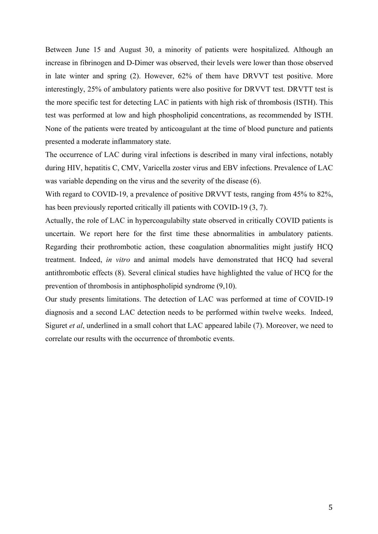Between June 15 and August 30, a minority of patients were hospitalized. Although an increase in fibrinogen and D-Dimer was observed, their levels were lower than those observed in late winter and spring (2). However, 62% of them have DRVVT test positive. More interestingly, 25% of ambulatory patients were also positive for DRVVT test. DRVTT test is the more specific test for detecting LAC in patients with high risk of thrombosis (ISTH). This test was performed at low and high phospholipid concentrations, as recommended by ISTH. None of the patients were treated by anticoagulant at the time of blood puncture and patients presented a moderate inflammatory state.

The occurrence of LAC during viral infections is described in many viral infections, notably during HIV, hepatitis C, CMV, Varicella zoster virus and EBV infections. Prevalence of LAC was variable depending on the virus and the severity of the disease (6).

With regard to COVID-19, a prevalence of positive DRVVT tests, ranging from 45% to 82%, has been previously reported critically ill patients with COVID-19 (3, 7).

Actually, the role of LAC in hypercoagulabilty state observed in critically COVID patients is uncertain. We report here for the first time these abnormalities in ambulatory patients. Regarding their prothrombotic action, these coagulation abnormalities might justify HCQ treatment. Indeed, *in vitro* and animal models have demonstrated that HCQ had several antithrombotic effects (8). Several clinical studies have highlighted the value of HCQ for the prevention of thrombosis in antiphospholipid syndrome (9,10).

Our study presents limitations. The detection of LAC was performed at time of COVID-19 diagnosis and a second LAC detection needs to be performed within twelve weeks. Indeed, Siguret *et al*, underlined in a small cohort that LAC appeared labile (7). Moreover, we need to correlate our results with the occurrence of thrombotic events.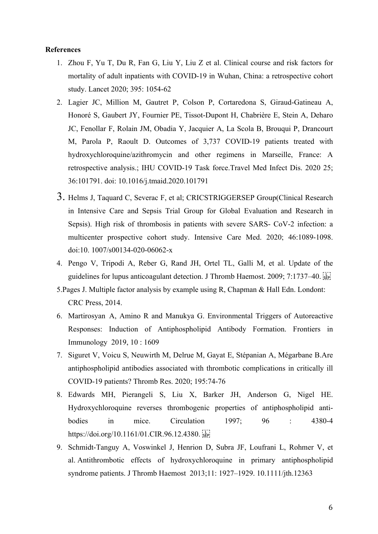## **References**

- 1. Zhou F, Yu T, Du R, Fan G, Liu Y, Liu Z et al. Clinical course and risk factors for mortality of adult inpatients with COVID-19 in Wuhan, China: a retrospective cohort study. Lancet 2020; 395: 1054-62
- 2. Lagier JC, Million M, Gautret P, Colson P, Cortaredona S, Giraud-Gatineau A, Honoré S, Gaubert JY, Fournier PE, Tissot-Dupont H, Chabrière E, Stein A, Deharo JC, Fenollar F, Rolain JM, Obadia Y, Jacquier A, La Scola B, Brouqui P, Drancourt M, Parola P, Raoult D. Outcomes of 3,737 COVID-19 patients treated with hydroxychloroquine/azithromycin and other regimens in Marseille, France: A retrospective analysis.; IHU COVID-19 Task force.Travel Med Infect Dis. 2020 25; 36:101791. doi: 10.1016/j.tmaid.2020.101791
- 3. Helms J, Taquard C, Severac F, et al; CRICSTRIGGERSEP Group(Clinical Research in Intensive Care and Sepsis Trial Group for Global Evaluation and Research in Sepsis). High risk of thrombosis in patients with severe SARS- CoV-2 infection: a multicenter prospective cohort study. Intensive Care Med. 2020; 46:1089-1098. doi:10. 1007/s00134-020-06062-x
- 4. Pengo V, Tripodi A, Reber G, Rand JH, Ortel TL, Galli M, et al. Update of the guidelines for lupus anticoagulant detection. J Thromb Haemost. 2009; 7:1737-40.
- 5.Pages J. Multiple factor analysis by example using R, Chapman & Hall Edn. Londont: CRC Press, 2014.
- 6. Martirosyan A, Amino R and Manukya G. Environmental Triggers of Autoreactive Responses: Induction of Antiphospholipid Antibody Formation. Frontiers in Immunology 2019, 10 : 1609
- 7. Siguret V, Voicu S, Neuwirth M, Delrue M, Gayat E, Stépanian A, Mégarbane B.Are antiphospholipid antibodies associated with thrombotic complications in critically ill COVID-19 patients? Thromb Res. 2020; 195:74-76
- 8. Edwards MH, Pierangeli S, Liu X, Barker JH, Anderson G, Nigel HE. Hydroxychloroquine reverses thrombogenic properties of antiphospholipid antibodies in mice. Circulation 1997; 96 : 4380-4 https://doi.org/10.1161/01.CIR.96.12.4380.
- 9. Schmidt-Tanguy A, Voswinkel J, Henrion D, Subra JF, Loufrani L, Rohmer V, et al. Antithrombotic effects of hydroxychloroquine in primary antiphospholipid syndrome patients. J Thromb Haemost 2013;11: 1927–1929. 10.1111/jth.12363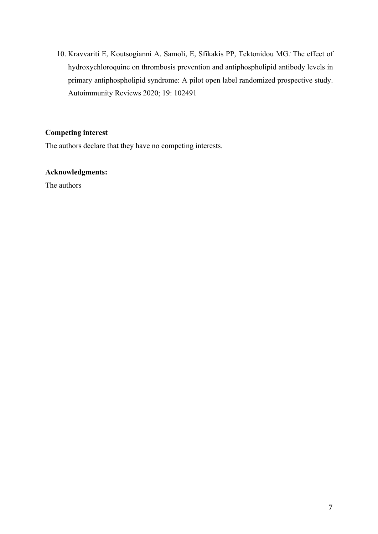10. Kravvariti E, Koutsogianni A, Samoli, E, Sfikakis PP, Tektonidou MG.. The effect of hydroxychloroquine on thrombosis prevention and antiphospholipid antibody levels in primary antiphospholipid syndrome: A pilot open label randomized prospective study. Autoimmunity Reviews 2020; 19: 102491

# **Competing interest**

The authors declare that they have no competing interests.

# **Acknowledgments:**

The authors